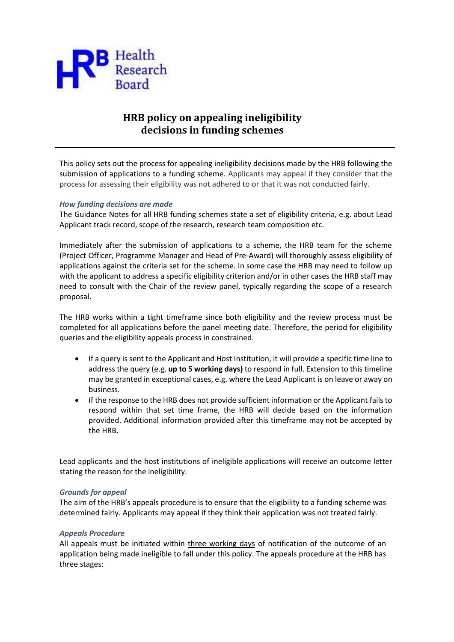

# **HRB policy on appealing ineligibility decisions in funding schemes**

This policy sets out the process for appealing ineligibility decisions made by the HRB following the submission of applications to a funding scheme. Applicants may appeal if they consider that the process for assessing their eligibility was not adhered to or that it was not conducted fairly.

### *How funding decisions are made*

The Guidance Notes for all HRB funding schemes state a set of eligibility criteria, e.g. about Lead Applicant track record, scope of the research, research team composition etc.

Immediately after the submission of applications to a scheme, the HRB team for the scheme (Project Officer, Programme Manager and Head of Pre-Award) will thoroughly assess eligibility of applications against the criteria set for the scheme. In some case the HRB may need to follow up with the applicant to address a specific eligibility criterion and/or in other cases the HRB staff may need to consult with the Chair of the review panel, typically regarding the scope of a research proposal.

The HRB works within a tight timeframe since both eligibility and the review process must be completed for all applications before the panel meeting date. Therefore, the period for eligibility queries and the eligibility appeals process in constrained.

- If a query is sent to the Applicant and Host Institution, it will provide a specific time line to address the query (e.g. **up to 5 working days)** to respond in full. Extension to this timeline may be granted in exceptional cases, e.g. where the Lead Applicant is on leave or away on business.
- If the response to the HRB does not provide sufficient information or the Applicant fails to respond within that set time frame, the HRB will decide based on the information provided. Additional information provided after this timeframe may not be accepted by the HRB.

Lead applicants and the host institutions of ineligible applications will receive an outcome letter stating the reason for the ineligibility.

#### *Grounds for appeal*

The aim of the HRB's appeals procedure is to ensure that the eligibility to a funding scheme was determined fairly. Applicants may appeal if they think their application was not treated fairly.

#### *Appeals Procedure*

All appeals must be initiated within three working days of notification of the outcome of an application being made ineligible to fall under this policy. The appeals procedure at the HRB has three stages: